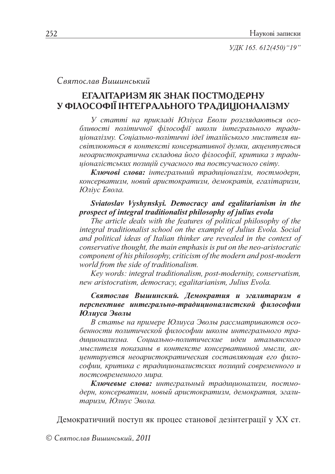УДК 165. 612(450) "19"

# Святослав Вишинський

# ЕГАЛІТАРИЗМ ЯК ЗНАК ПОСТМОДЕРНУ У ФІЛОСОФІЇ ІНТЕГРАЛЬНОГО ТРАДИЦІОНАЛІЗМУ

У статті на прикладі Юліуса Еволи розглядаються особливості політичної філософії школи інтегрального традиціоналізму. Соціально-політичні ідеї італійського мислителя висвітлюються в контексті консервативної думки, акцентується неоаристократична складова його філософії, критика з традиціоналістських позицій сучасного та постсучасного світу.

Ключові слова: інтегральний традиціоналізм, постмодерн, консерватизм, новий аристократизм, демократія, егалітаризм, Юліус Евола.

#### Sviatoslav Vyshynskyi. Democracy and egalitarianism in the prospect of integral traditionalist philosophy of julius evola

The article deals with the features of political philosophy of the integral traditionalist school on the example of Julius Evola. Social and political ideas of Italian thinker are revealed in the context of conservative thought, the main emphasis is put on the neo-aristocratic component of his philosophy, criticism of the modern and post-modern world from the side of traditionalism.

Key words: integral traditionalism, post-modernity, conservatism, new aristocratism, democracy, egalitarianism, Julius Evola.

## Святослав Вышинский. Демократия и эгалитаризм в перспективе интегрально-традиционалистской философии Юлиуса Эволы

В статье на примере Юлиуса Эволы рассматриваются особенности политической философии школы интегрального традиционализма. Социально-политические идеи итальянского мыслителя показаны в контексте консервативной мысли, акцентируется неоаристократическая составляющая его философии, критика с традиционалистских позиций современного и постсовременного мира.

Ключевые слова: интегральный традиционализм, постмодерн, консерватизм, новый аристократизм, демократия, эгалитаризм, Юлиус Эвола.

Демократичний поступ як процес станової дезінтеграції у XX ст.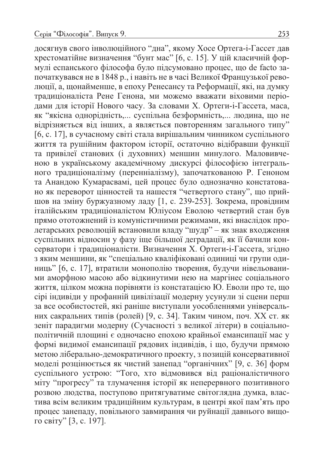досягнув свого інволюційного "дна", якому Хосе Ортега-і-Гассет дав хрестоматійне визначення "бунт мас" [6, с. 15]. У цій класичній формулі еспанського філософа було підсумовано процес, що de facto започаткувався не в 1848 р., і навіть не в часі Великої Французької революції, а, щонайменше, в епоху Ренесансу та Реформації, які, на думку традиціоналіста Рене Генона, ми можемо вважати віховими періодами для історії Нового часу. За словами Х. Ортеги-і-Гассета, маса, як "якісна однорідність,... суспільна безформність,... людина, що не відрізняється від інших, а являється повторенням загального типу" [6, с. 17], в сучасному світі стала вирішальним чинником суспільного життя та рушійним фактором історії, остаточно відібравши функції та привілеї станових (і духовних) меншин минулого. Маловивченою в українському академічному дискурсі філософією інтегрального традиціоналізму (перенніалізму), започаткованою Р. Геноном та Анандою Кумарасвамі, цей процес було однозначно констатовано як переворот цінностей та нашестя "четвертого стану", що прийшов на зміну буржуазному ладу [1, с. 239-253]. Зокрема, провідним італійським традиціоналістом Юліусом Еволою четвертий стан був прямо ототожнений із комуністичними режимами, які внаслідок пролетарських революцій встановили владу "шудр" - як знак входження суспільних відносин у фазу іще більшої деградації, як її бачили консерватори і традиціоналісти. Визначення Х. Ортеги-і-Гассета, згідно з яким меншини, як "спеціально кваліфіковані одиниці чи групи одиниць" [6, с. 17], втратили монополію творення, будучи нівельованими аморфною масою або відкинутими нею на маргінес соціального життя, цілком можна порівняти із констатацією Ю. Еволи про те, що сірі індивіди у профанній цивілізації модерну усунули зі сцени перш за все особистостей, які раніше виступали уособленнями універсальних сакральних типів (ролей) [9, с. 34]. Таким чином, поч. XX ст. як зеніт парадигми модерну (Сучасності з великої літери) в соціальнополітичній площині є одночасно епохою крайньої емансипації мас у формі видимої емансипації рядових індивідів, і що, будучи прямою метою ліберально-демократичного проекту, з позицій консервативної моделі розцінюється як чистий занепад "органічних" [9, с. 36] форм суспільного устрою: "Того, хто відмовився від раціоналістичного міту "прогресу" та тлумачення історії як неперервного позитивного розвою людства, поступово притягуватиме світоглядна думка, властива всім великим традиційним культурам, в центрі якої пам'ять про процес занепаду, повільного завмирання чи руйнації давнього вищого світу" [3, с. 197].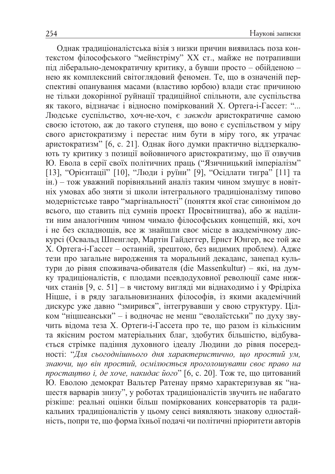Однак традиціоналістська візія з низки причин виявилась поза контекстом філософського "мейнстріму" XX ст., майже не потрапивши під ліберально-демократичну критику, а бувши просто - обійденою нею як комплексний світоглядовий феномен. Те, що в означеній перспективі опанування масами (властиво юрбою) влади стає причиною не тільки докорінної руйнації традиційної спільноти, але суспільства як такого, відзначає і відносно поміркований Х. Ортега-і-Гассет: "... Людське суспільство, хоч-не-хоч, є завжди аристократичне самою своєю істотою, аж до такого ступеня, що воно є суспільством у міру свого аристократизму і перестає ним бути в міру того, як утрачає аристократизм" [6, с. 21]. Однак його думки практично віддзеркалюють ту критику з позиції войовничого аристократизму, що її озвучив Ю. Евола в серії своїх політичних праць ("Язичницький імперіалізм" [13], "Орієнтації" [10], "Люди і руїни" [9], "Осідлати тигра" [11] та ін.) - тож уважний порівняльний аналіз таким чином змушує в новітніх умовах або зняти зі школи інтегрального традиціоналізму типово модерністське тавро "маргінальності" (поняття якої стає синонімом до всього, що ставить під сумнів проект Просвітництва), або ж наділити ним аналогічним чином чимало філософських концепцій, які, хоч і не без складнощів, все ж знайшли своє місце в академічному дискурсі (Освальд Шпенглер, Мартін Гайдеггер, Ернст Юнгер, все той же Х. Ортега-і-Гассет – останній, зрештою, без видимих проблем). Адже тези про загальне виродження та моральний декаданс, занепад культури до рівня споживача-обивателя (die Massenkultur) - які, на думку традиціоналістів, є плодами псевдодуховної революції саме нижчих станів [9, с. 51] – в чистому вигляді ми віднаходимо і у Фрідріха Ніцше, і в ряду загальновизнаних філософів, із якими академічний дискурс уже давно "змирився", інтегрувавши у свою структуру. Цілком "ніцшеанськи" - і водночас не менш "еволаїстськи" по духу звучить відома теза Х. Ортеги-і-Гассета про те, що разом із кількісним та якісним ростом матеріальних благ, здобутих більшістю, відбувається стрімке падіння духовного ідеалу Людини до рівня посередності: "Для сьогоднішнього дня характеристично, що простий ум, знаючи, що він простий, осмілюється проголошувати своє право на простацтво і, де хоче, накидає його" [6, с. 20]. Тож те, що цитований Ю. Еволою демократ Вальтер Ратенау прямо характеризував як "нашестя варварів знизу", у роботах традиціоналістів звучить не набагато різкіше: реальні оцінки більш поміркованих консерваторів та радикальних традиціоналістів у цьому сенсі виявляють знакову одностайність, попри те, що форма їхньої подачі чи політичні пріоритети авторів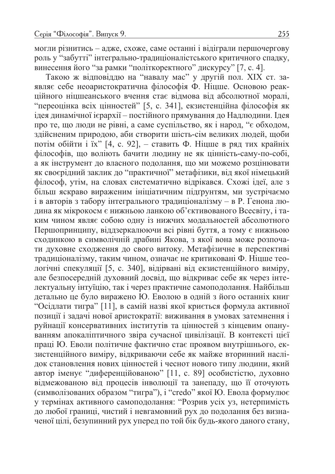могли різнитись - адже, схоже, саме останні і відіграли першочергову роль у "забутті" інтегрально-традиціоналістського критичного спадку, винесення його "за рамки "політкоректного" дискурсу" [7, с. 4].

Такою ж відповіддю на "навалу мас" у другій пол. XIX ст. заявляє себе неоаристократична філософія Ф. Ніцше. Основою реакційного ніцшеанського вчення стає відмова від абсолютної моралі, "переоцінка всіх цінностей" [5, с. 341], екзистенційна філософія як ідея динамічної ієрархії – постійного прямування до Надлюдини. Ідея про те, що люди не рівні, а саме суспільство, як і народ, "є обходом, здійсненим природою, аби створити шість-сім великих людей, щоби потім обійти і їх" [4, с. 92], – ставить Ф. Ніцше в ряд тих крайніх філософів, що воліють бачити людину не як цінність-саму-по-собі, а як інструмент до власного подолання, що ми можемо розцінювати як своєрідний заклик до "практичної" метафізики, від якої німецький філософ, утім, на словах систематично відрікався. Схожі ідеї, але з більш яскраво вираженим ініціатичним підтрунтям, ми зустрічаємо і в авторів з табору інтегрального традиціоналізму - в Р. Генона людина як мікрокосм є нижньою ланкою об'єктивованого Всесвіту, і таким чином являє собою одну із нижчих модальностей абсолютного Першопринципу, віддзеркалюючи всі рівні буття, а тому є нижньою сходинкою в символічній драбині Якова, з якої вона може розпочати духовне сходження до свого витоку. Метафізичне в перспективі традиціоналізму, таким чином, означає не критиковані Ф. Ніцше теологічні спекуляції [5, с. 340], відірвані від екзистенційного виміру, але безпосередній духовний досвід, що відкриває себе як через інтелектуальну інтуїцію, так і через практичне самоподолання. Найбільш детально це було виражено Ю. Еволою в одній з його останніх книг "Осідлати тигра" [11], в самій назві якої криється формула активної позиції і задачі нової аристократії: виживання в умовах затемнення і руйнації консервативних інститутів та цінностей з кінцевим опануванням апокаліптичного звіра сучасної цивілізації. В контексті цієї праці Ю. Еволи політичне фактично стає проявом внутрішнього, екзистенційного виміру, відкриваючи себе як майже вторинний наслідок становлення нових цінностей і чеснот нового типу людини, який автор іменує "диференційованою" [11, с. 89] особистістю, духовно відмежованою від процесів інволюції та занепаду, що її оточують (символізованих образом "тигра"), і "credo" якої Ю. Евола формулює у термінах активного самоподолання: "Розрив усіх уз, нетерпимість до любої границі, чистий і невгамовний рух до подолання без визначеної цілі, безупинний рух уперед по той бік будь-якого даного стану,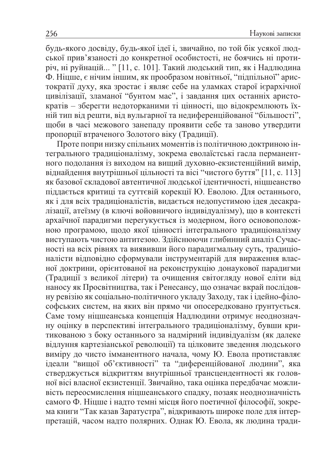будь-якого досвіду, будь-якої ідеї і, звичайно, по той бік усякої людської прив'язаності до конкретної особистості, не боячись ні протиріч, ні руйнацій... " [11, с. 101]. Такий людський тип, як і Надлюдина Ф. Ніцше, є нічим іншим, як прообразом новітньої, "підпільної" аристократії духу, яка зростає і являє себе на уламках старої ієрархічної цивілізації, зламаної "бунтом мас", і завдання цих останніх аристократів - зберегти недоторканими ті цінності, що відокремлюють їхній тип від решти, від вульгарної та недиференційованої "більшості", щоби в часі межового занепаду проявити себе та заново утвердити пропорції втраченого Золотого віку (Традиції).

Проте попри низку спільних моментів із політичною доктриною інтегрального традиціоналізму, зокрема еволаїстські гасла перманентного подолання із виходом на вищий духовно-екзистенційний вимір, віднайдення внутрішньої цільності та вісі "чистого буття" [11, с. 113] як базової складової автентичної людської ідентичності, ніцшеанство піддається критиці та суттєвій корекції Ю. Еволою. Для останнього, як і для всіх традиціоналістів, видається недопустимою ідея десакралізації, атеїзму (в ключі войовничого індивідуалізму), що в контексті архаїчної парадигми перегукується із модерном, його основоположною програмою, щодо якої цінності інтегрального традиціоналізму виступають чистою антитезою. Здійснюючи глибинний аналіз Сучасності на всіх рівнях та виявивши його парадигмальну суть, традиціоналісти відповідно сформували інструментарій для вираження власної доктрини, орієнтованої на реконструкцію донаукової парадигми (Традиції з великої літери) та очищення світогляду нової еліти від наносу як Просвітництва, так і Ренесансу, що означає вкрай послідовну ревізію як соціально-політичного укладу Заходу, так і ідейно-філософських систем, на яких він прямо чи опосередковано ґрунтується. Саме тому ніцшеанська концепція Надлюдини отримує неоднозначну оцінку в перспективі інтегрального традиціоналізму, бувши критикованою з боку останнього за надмірний індивідуалізм (як далеке відлуння картезіанської революції) та цілковите зведення людського виміру до чисто імманентного начала, чому Ю. Евола протиставляє ідеали "вищої об'єктивності" та "диференційованої людини", яка стверджується відкриттям внутрішньої трансцендентності як головної вісі власної екзистенції. Звичайно, така оцінка передбачає можливість переосмислення ніцшеанського спадку, позаяк неоднозначність самого Ф. Ніцше і надто темні місця його поетичної філософії, зокрема книги "Так казав Заратустра", відкривають широке поле для інтерпретацій, часом надто полярних. Однак Ю. Евола, як людина тради-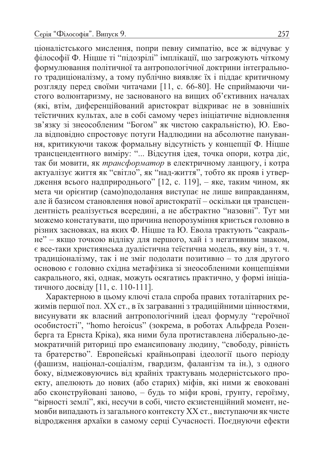ціоналістського мислення, попри певну симпатію, все ж відчуває у філософії Ф. Ніцше ті "підозрілі" імплікації, що загрожують чіткому формулювання політичної та антропологічної доктрини інтегрального традиціоналізму, а тому публічно виявляє їх і піддає критичному розгляду перед своїми читачами [11, с. 66-80]. Не сприймаючи чистого волюнтаризму, не заснованого на вищих об'єктивних началах (які, втім, диференційований аристократ відкриває не в зовнішніх теїстичних культах, але в собі самому через ініціатичне відновлення зв'язку зі знеособленим "Богом" як чистою сакральністю), Ю. Евола відповідно спростовує потуги Надлюдини на абсолютне панування, критикуючи також формальну відсутність у концепції Ф. Ніцше трансцендентного виміру: "... Відсутня ідея, точка опори, котра діє, так би мовити, як трансформатор в електричному ланцюгу, і котра актуалізує життя як "світло", як "над-життя", тобто як прояв і утвердження всього надприроднього" [12, с. 119], - яке, таким чином, як мета чи орієнтир (само)подолання виступає не лише виправданням, але й базисом становлення нової аристократії – оскільки ця трансцендентність реалізується всередині, а не абстрактно "назовні". Тут ми можемо констатувати, що причина непорозуміння криється головно в різних засновках, на яких Ф. Ніцше та Ю. Евола трактують "сакральне" - якщо точкою відліку для першого, хай і з негативним знаком, є все-таки християнська дуалістична теїстична модель, яку він, з т. ч. традиціоналізму, так і не зміг подолати позитивно - то для другого основою є головно східна метафізика зі знеособленими концепціями сакрального, які, однак, можуть осягатись практично, у формі ініціатичного досвіду [11, с. 110-111].

Характерною в цьому ключі стала спроба правих тоталітарних режимів першої пол. XX ст., в їх заграванні з традиційними цінностями, висунувати як власний антропологічний ідеал формулу "героїчної особистості", "homo heroicus" (зокрема, в роботах Альфреда Розенберга та Ернста Кріка), яка ними була протиставлена ліберально-демократичній риториці про емансиповану людину, "свободу, рівність та братерство". Европейські крайньоправі ідеології цього періоду (фашизм, націонал-соціалізм, гвардизм, фалангізм та ін.), з одного боку, відмежовуючись від крайніх трактувань модерністського проекту, апелюють до нових (або старих) міфів, які ними ж евоковані або сконструйовані заново, - будь то міфи крові, грунту, героїзму, "вірності землі", які, несучи в собі, чисто екзистенційний момент, немовби випадають із загального контексту XX ст., виступаючи як чисте відродження архаїки в самому серці Сучасності. Поєднуючи ефекти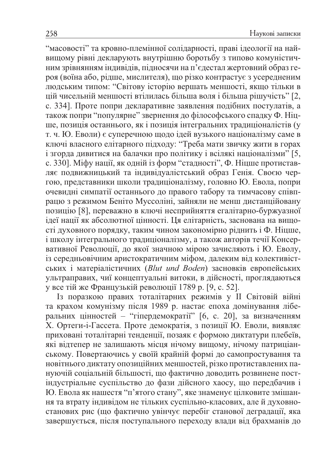"масовості" та кровно-племінної солідарності, праві ідеології на найвищому рівні декларують внутрішню боротьбу з типово комуністичним зрівнянням індивідів, підносячи на п'єдестал жертовний образ героя (воїна або, рідше, мислителя), що різко контрастує з усередненим людським типом: "Світову історію вершать меншості, якщо тільки в цій чисельній меншості втілилась більша воля і більша рішучість" [2, с. 334]. Проте попри декларативне заявлення подібних постулатів, а також попри "популярне" звернення до філософського спадку Ф. Ніцше, позиція останнього, як і позиція інтегральних традиціоналістів (у т. ч. Ю. Еволи) є суперечною щодо ідей вузького націоналізму саме в ключі власного елітарного підходу: "Треба мати звичку жити в горах і згорда дивитися на балачки про політику і всілякі націоналізми" [5, с. 330]. Міфу нації, як одній із форм "стадності", Ф. Ніцше протиставляє подвижницький та індивідуалістський образ Генія. Своєю чергою, представники школи традиціоналізму, головно Ю. Евола, попри очевидні симпатії останнього до правого табору та тимчасову співпрацю з режимом Беніто Муссоліні, зайняли не менш дистанційовану позицію [8], переважно в ключі несприйняття егалітарно-буржуазної ідеї нації як абсолютної цінності. Ця елітарність, заснована на вищості духовного порядку, таким чином закономірно ріднить і Ф. Ніцше, і школу інтегрального традиціоналізму, а також авторів течії Консервативної Революції, до якої значною мірою зачисляють і Ю. Еволу, із середньовічним аристократичним міфом, далеким від колективістських і матеріалістичних (Blut und Boden) засновків европейських ультраправих, чиї концептуальні витоки, в дійсності, проглядаються у все тій же Французькій революції 1789 р. [9, с. 52].

Із поразкою правих тоталітарних режимів у II Світовій війні та крахом комунізму після 1989 р. настає епоха домінування ліберальних цінностей - "гіпердемократії" [6, с. 20], за визначенням Х. Ортеги-і-Гассета. Проте демократія, з позиції Ю. Еволи, виявляє приховані тоталітарні тенденції, позаяк є формою диктатури плебеїв, які відтепер не залишають місця нічому вищому, нічому патриціанському. Повертаючись у своїй крайній формі до самопростування та новітнього диктату опозиційних меншостей, різко протиставлених пануючій соціальній більшості, що фактично доводить розвинене постіндустріальне суспільство до фази дійсного хаосу, що передбачив і Ю. Евола як нашестя "п'ятого стану", яке знаменує цілковите змішання та втрату індивідом не тільких суспільно-класових, але й духовностанових рис (що фактично увінчує перебіг станової деградації, яка завершується, після поступального переходу влади від брахманів до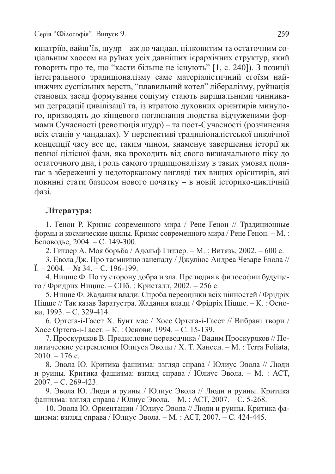кшатріїв, вайш'їв, шудр – аж до чандал, цілковитим та остаточним соціальним хаосом на руїнах усіх давніших ієрархічних структур, який говорить про те, що "касти більше не існують" [1, с. 240]). З позиції інтегрального традиціоналізму саме матеріалістичний егоїзм найнижчих суспільних верств, "плавильний котел" лібералізму, руйнація станових засад формування соціуму стають вирішальними чинниками деградації цивілізації та, із втратою духовних орієнтирів минулого, призводять до кінцевого поглинання людства відчуженими формами Сучасності (революція шудр) - та пост-Сучасності (розчинення всіх станів у чандалах). У перспективі традиціоналістської циклічної концепції часу все це, таким чином, знаменує завершення історії як певної цілісної фази, яка проходить від свого визначального піку до остаточного дна, і роль самого традиціоналізму в таких умовах полягає в збереженні у недоторканому вигляді тих вищих орієнтирів, які повинні стати базисом нового початку - в новій історико-циклічній фазі.

## Література:

1. Генон Р. Кризис современного мира / Рене Генон // Традиционные формы и космические циклы. Кризис современного мира / Рене Генон. - М.: Беловодье, 2004. - С. 149-300.

2. Гитлер А. Моя борьба / Адольф Гитлер. – М.: Витязь, 2002. – 600 с.

3. Евола Дж. Про таємницю занепаду / Джуліюс Андреа Чезаре Евола //  $\ddot{\text{I}}$ . - 2004. -  $\text{Ne } 34$ . - C. 196-199.

4. Ницше Ф. По ту сторону добра и зла. Прелюдия к философии будущего / Фридрих Ницше. – СПб. : Кристалл, 2002. – 256 с.

5. Ніцше Ф. Жадання влади. Спроба переоцінки всіх цінностей / Фрідріх Ніцше // Так казав Заратустра. Жадання влади / Фрідріх Ніцше. - К.: Основи, 1993. – С. 329-414.

6. Ортега-і-Гасет Х. Бунт мас / Хосе Ортега-і-Гасет // Вибрані твори / Хосе Ортега-і-Гасет. – К.: Основи, 1994. – С. 15-139.

7. Проскуряков В. Предисловие переводчика / Вадим Проскуряков // Политические устремления Юлиуса Эволы / Х. Т. Хансен. - М. : Terra Foliata,  $2010 - 176$  c.

8. Эвола Ю. Критика фашизма: взгляд справа / Юлиус Эвола // Люди и руины. Критика фашизма: взгляд справа / Юлиус Эвола. – М. : АСТ,  $2007. - C. 269-423.$ 

9. Эвола Ю. Люди и руины / Юлиус Эвола // Люди и руины. Критика фашизма: взгляд справа / Юлиус Эвола. – М.: АСТ, 2007. – С. 5-268.

10. Эвола Ю. Ориентации / Юлиус Эвола // Люди и руины. Критика фашизма: взгляд справа / Юлиус Эвола. – М. : АСТ, 2007. – С. 424-445.